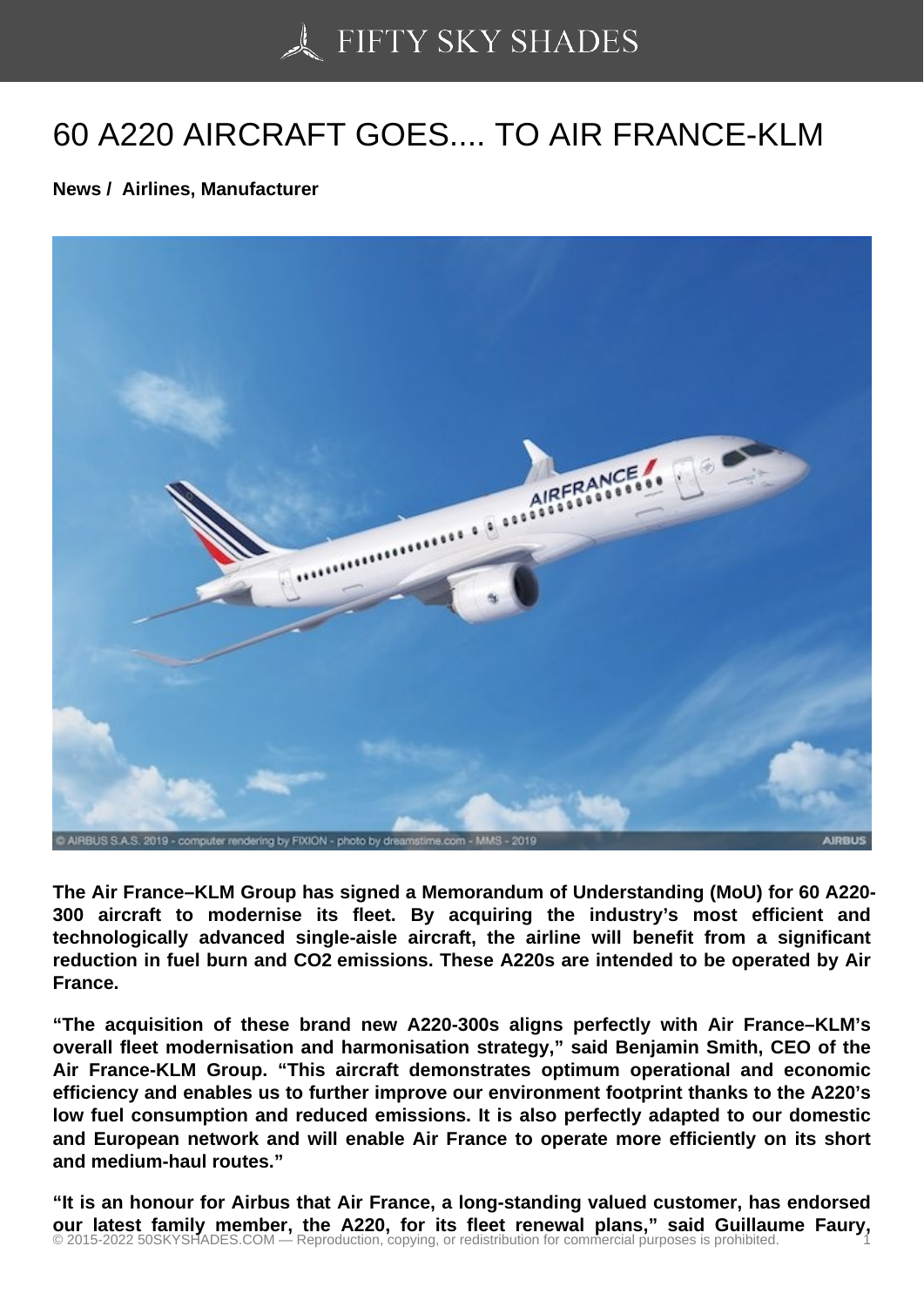## [60 A220 AIRCRAFT G](https://50skyshades.com)OES.... TO AIR FRANCE-KLM

News / Airlines, Manufacturer

The Air France–KLM Group has signed a Memorandum of Understanding (MoU) for 60 A220- 300 aircraft to modernise its fleet. By acquiring the industry's most efficient and technologically advanced single-aisle aircraft, the airline will benefit from a significant reduction in fuel burn and CO2 emissions. These A220s are intended to be operated by Air France.

"The acquisition of these brand new A220-300s aligns perfectly with Air France–KLM's overall fleet modernisation and harmonisation strategy," said Benjamin Smith, CEO of the Air France-KLM Group. "This aircraft demonstrates optimum operational and economic efficiency and enables us to further improve our environment footprint thanks to the A220's low fuel consumption and reduced emissions. It is also perfectly adapted to our domestic and European network and will enable Air France to operate more efficiently on its short and medium-haul routes."

"It is an honour for Airbus that Air France, a long-standing valued customer, has endorsed our latest family member, the A220, for its fleet renewal plans," said Guillaume Faury,<br>© 2015-2022 50SKYSHADES.COM — Reproduction, copying, or redistribution for commercial purposes is prohibited.